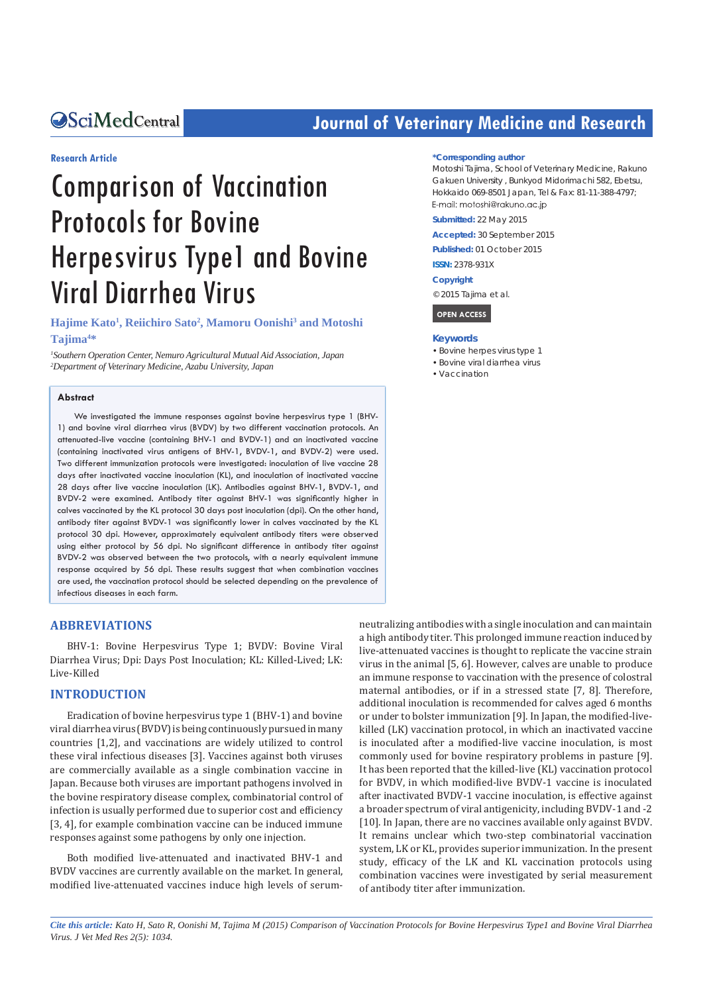# **OSciMedCentral**

# **Journal of Veterinary Medicine and Research**

#### **Research Article**

# Comparison of Vaccination Protocols for Bovine Herpesvirus Type1 and Bovine Viral Diarrhea Virus

**Hajime Kato1 , Reiichiro Sato2 , Mamoru Oonishi3 and Motoshi Tajima4 \***

*1 Southern Operation Center, Nemuro Agricultural Mutual Aid Association, Japan 2 Department of Veterinary Medicine, Azabu University, Japan*

#### **Abstract**

We investigated the immune responses against bovine herpesvirus type 1 (BHV-1) and bovine viral diarrhea virus (BVDV) by two different vaccination protocols. An attenuated-live vaccine (containing BHV-1 and BVDV-1) and an inactivated vaccine (containing inactivated virus antigens of BHV-1, BVDV-1, and BVDV-2) were used. Two different immunization protocols were investigated: inoculation of live vaccine 28 days after inactivated vaccine inoculation (KL), and inoculation of inactivated vaccine 28 days after live vaccine inoculation (LK). Antibodies against BHV-1, BVDV-1, and BVDV-2 were examined. Antibody titer against BHV-1 was significantly higher in calves vaccinated by the KL protocol 30 days post inoculation (dpi). On the other hand, antibody titer against BVDV-1 was significantly lower in calves vaccinated by the KL protocol 30 dpi. However, approximately equivalent antibody titers were observed using either protocol by 56 dpi. No significant difference in antibody titer against BVDV-2 was observed between the two protocols, with a nearly equivalent immune response acquired by 56 dpi. These results suggest that when combination vaccines are used, the vaccination protocol should be selected depending on the prevalence of infectious diseases in each farm.

#### **ABBREVIATIONS**

BHV-1: Bovine Herpesvirus Type 1; BVDV: Bovine Viral Diarrhea Virus; Dpi: Days Post Inoculation; KL: Killed-Lived; LK: Live-Killed

## **INTRODUCTION**

Eradication of bovine herpesvirus type 1 (BHV-1) and bovine viral diarrhea virus (BVDV) is being continuously pursued in many countries [1,2], and vaccinations are widely utilized to control these viral infectious diseases [3]. Vaccines against both viruses are commercially available as a single combination vaccine in Japan. Because both viruses are important pathogens involved in the bovine respiratory disease complex, combinatorial control of infection is usually performed due to superior cost and efficiency [3, 4], for example combination vaccine can be induced immune responses against some pathogens by only one injection.

Both modified live-attenuated and inactivated BHV-1 and BVDV vaccines are currently available on the market. In general, modified live-attenuated vaccines induce high levels of serum-

#### **\*Corresponding author**

Motoshi Tajima, School of Veterinary Medicine, Rakuno Gakuen University , Bunkyod Midorimachi 582, Ebetsu, Hokkaido 069-8501 Japan, Tel & Fax: 81-11-388-4797; E-mail: motoshi@rakuno.ac.jp

**Submitted:** 22 May 2015

**Accepted:** 30 September 2015

**Published:** 01 October 2015

**ISSN:** 2378-931X

**Copyright**

© 2015 Tajima et al.

 **OPEN ACCESS** 

#### **Keywords**

- Bovine herpes virus type 1
- • Bovine viral diarrhea virus
- • Vaccination

neutralizing antibodies with a single inoculation and can maintain a high antibody titer. This prolonged immune reaction induced by live-attenuated vaccines is thought to replicate the vaccine strain virus in the animal [5, 6]. However, calves are unable to produce an immune response to vaccination with the presence of colostral maternal antibodies, or if in a stressed state [7, 8]. Therefore, additional inoculation is recommended for calves aged 6 months or under to bolster immunization [9]. In Japan, the modified-livekilled (LK) vaccination protocol, in which an inactivated vaccine is inoculated after a modified-live vaccine inoculation, is most commonly used for bovine respiratory problems in pasture [9]. It has been reported that the killed-live (KL) vaccination protocol for BVDV, in which modified-live BVDV-1 vaccine is inoculated after inactivated BVDV-1 vaccine inoculation, is effective against a broader spectrum of viral antigenicity, including BVDV-1 and -2 [10]. In Japan, there are no vaccines available only against BVDV. It remains unclear which two-step combinatorial vaccination system, LK or KL, provides superior immunization. In the present study, efficacy of the LK and KL vaccination protocols using combination vaccines were investigated by serial measurement of antibody titer after immunization.

*Cite this article: Kato H, Sato R, Oonishi M, Tajima M (2015) Comparison of Vaccination Protocols for Bovine Herpesvirus Type1 and Bovine Viral Diarrhea Virus. J Vet Med Res 2(5): 1034.*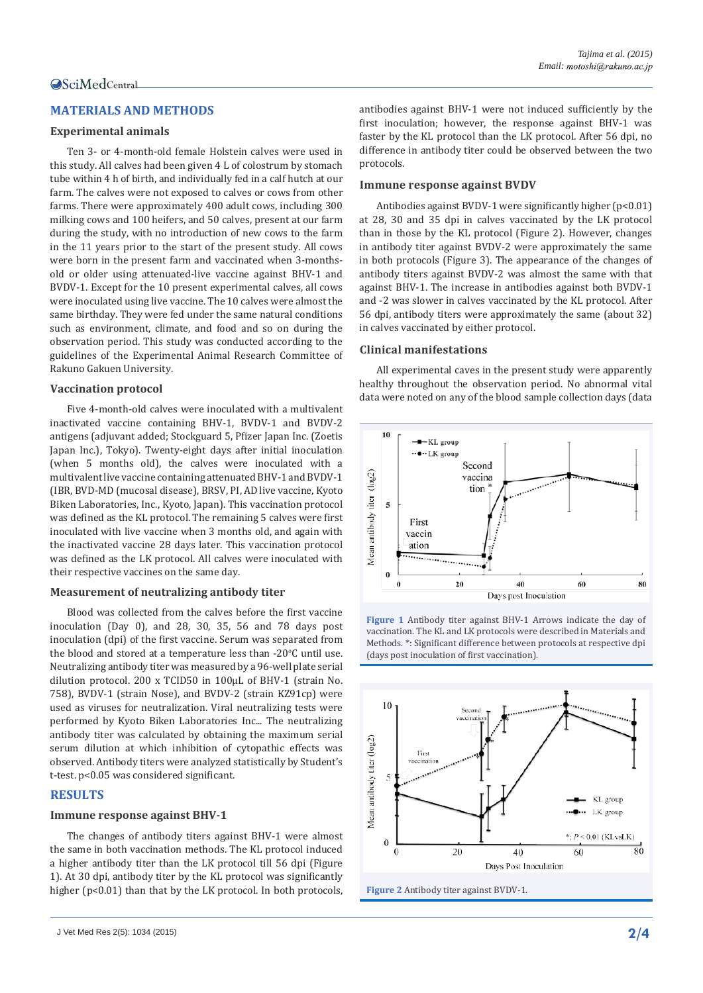# **MATERIALS AND METHODS**

#### **Experimental animals**

Ten 3- or 4-month-old female Holstein calves were used in this study. All calves had been given 4 L of colostrum by stomach tube within 4 h of birth, and individually fed in a calf hutch at our farm. The calves were not exposed to calves or cows from other farms. There were approximately 400 adult cows, including 300 milking cows and 100 heifers, and 50 calves, present at our farm during the study, with no introduction of new cows to the farm in the 11 years prior to the start of the present study. All cows were born in the present farm and vaccinated when 3-monthsold or older using attenuated-live vaccine against BHV-1 and BVDV-1. Except for the 10 present experimental calves, all cows were inoculated using live vaccine. The 10 calves were almost the same birthday. They were fed under the same natural conditions such as environment, climate, and food and so on during the observation period. This study was conducted according to the guidelines of the Experimental Animal Research Committee of Rakuno Gakuen University.

#### **Vaccination protocol**

Five 4-month-old calves were inoculated with a multivalent inactivated vaccine containing BHV-1, BVDV-1 and BVDV-2 antigens (adjuvant added; Stockguard 5, Pfizer Japan Inc. (Zoetis Japan Inc.), Tokyo). Twenty-eight days after initial inoculation (when 5 months old), the calves were inoculated with a multivalent live vaccine containing attenuated BHV-1 and BVDV-1 (IBR, BVD-MD (mucosal disease), BRSV, PI, AD live vaccine, Kyoto Biken Laboratories, Inc., Kyoto, Japan). This vaccination protocol was defined as the KL protocol. The remaining 5 calves were first inoculated with live vaccine when 3 months old, and again with the inactivated vaccine 28 days later. This vaccination protocol was defined as the LK protocol. All calves were inoculated with their respective vaccines on the same day.

#### **Measurement of neutralizing antibody titer**

Blood was collected from the calves before the first vaccine inoculation (Day 0), and 28, 30, 35, 56 and 78 days post inoculation (dpi) of the first vaccine. Serum was separated from the blood and stored at a temperature less than -20 $\degree$ C until use. Neutralizing antibody titer was measured by a 96-well plate serial dilution protocol. 200 x TCID50 in 100μL of BHV-1 (strain No. 758), BVDV-1 (strain Nose), and BVDV-2 (strain KZ91cp) were used as viruses for neutralization. Viral neutralizing tests were performed by Kyoto Biken Laboratories Inc... The neutralizing antibody titer was calculated by obtaining the maximum serial serum dilution at which inhibition of cytopathic effects was observed. Antibody titers were analyzed statistically by Student's t-test. p<0.05 was considered significant.

#### **RESULTS**

#### **Immune response against BHV-1**

The changes of antibody titers against BHV-1 were almost the same in both vaccination methods. The KL protocol induced a higher antibody titer than the LK protocol till 56 dpi (Figure 1). At 30 dpi, antibody titer by the KL protocol was significantly higher (p<0.01) than that by the LK protocol. In both protocols, antibodies against BHV-1 were not induced sufficiently by the first inoculation; however, the response against BHV-1 was faster by the KL protocol than the LK protocol. After 56 dpi, no difference in antibody titer could be observed between the two protocols.

#### **Immune response against BVDV**

Antibodies against BVDV-1 were significantly higher (p<0.01) at 28, 30 and 35 dpi in calves vaccinated by the LK protocol than in those by the KL protocol (Figure 2). However, changes in antibody titer against BVDV-2 were approximately the same in both protocols (Figure 3). The appearance of the changes of antibody titers against BVDV-2 was almost the same with that against BHV-1. The increase in antibodies against both BVDV-1 and -2 was slower in calves vaccinated by the KL protocol. After 56 dpi, antibody titers were approximately the same (about 32) in calves vaccinated by either protocol.

#### **Clinical manifestations**

All experimental caves in the present study were apparently healthy throughout the observation period. No abnormal vital data were noted on any of the blood sample collection days (data





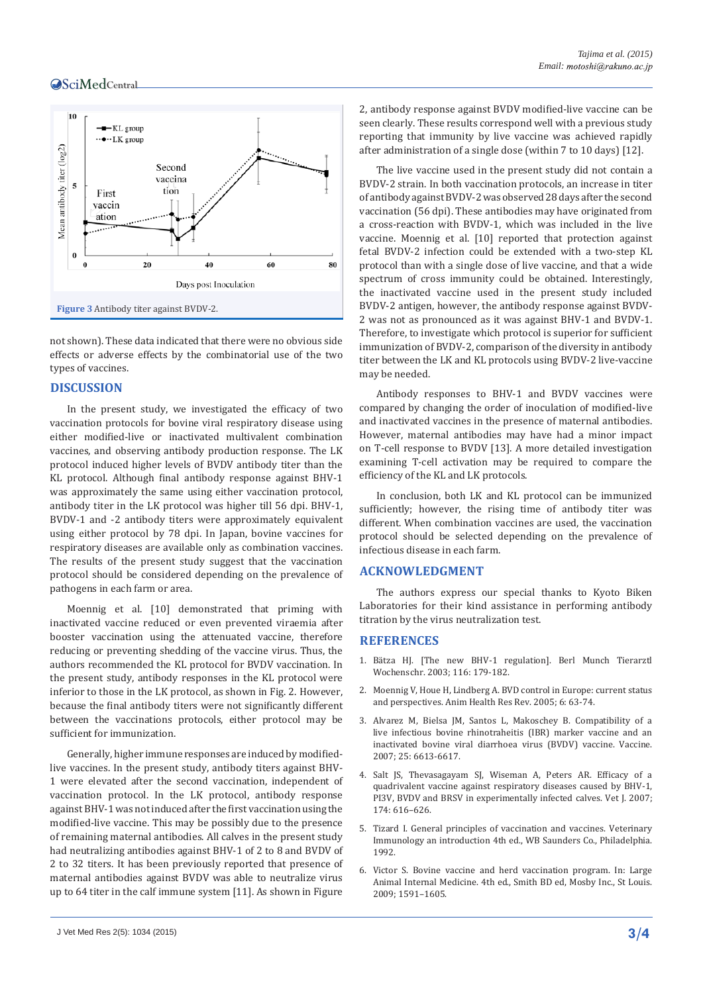## **OSciMedCentral**



not shown). These data indicated that there were no obvious side effects or adverse effects by the combinatorial use of the two types of vaccines.

#### **DISCUSSION**

In the present study, we investigated the efficacy of two vaccination protocols for bovine viral respiratory disease using either modified-live or inactivated multivalent combination vaccines, and observing antibody production response. The LK protocol induced higher levels of BVDV antibody titer than the KL protocol. Although final antibody response against BHV-1 was approximately the same using either vaccination protocol, antibody titer in the LK protocol was higher till 56 dpi. BHV-1, BVDV-1 and -2 antibody titers were approximately equivalent using either protocol by 78 dpi. In Japan, bovine vaccines for respiratory diseases are available only as combination vaccines. The results of the present study suggest that the vaccination protocol should be considered depending on the prevalence of pathogens in each farm or area.

Moennig et al. [10] demonstrated that priming with inactivated vaccine reduced or even prevented viraemia after booster vaccination using the attenuated vaccine, therefore reducing or preventing shedding of the vaccine virus. Thus, the authors recommended the KL protocol for BVDV vaccination. In the present study, antibody responses in the KL protocol were inferior to those in the LK protocol, as shown in Fig. 2. However, because the final antibody titers were not significantly different between the vaccinations protocols, either protocol may be sufficient for immunization.

Generally, higher immune responses are induced by modifiedlive vaccines. In the present study, antibody titers against BHV-1 were elevated after the second vaccination, independent of vaccination protocol. In the LK protocol, antibody response against BHV-1 was not induced after the first vaccination using the modified-live vaccine. This may be possibly due to the presence of remaining maternal antibodies. All calves in the present study had neutralizing antibodies against BHV-1 of 2 to 8 and BVDV of 2 to 32 titers. It has been previously reported that presence of maternal antibodies against BVDV was able to neutralize virus up to 64 titer in the calf immune system [11]. As shown in Figure

J Vet Med Res 2(5): 1034 (2015) **3/4**

2, antibody response against BVDV modified-live vaccine can be seen clearly. These results correspond well with a previous study reporting that immunity by live vaccine was achieved rapidly after administration of a single dose (within 7 to 10 days) [12].

The live vaccine used in the present study did not contain a BVDV-2 strain. In both vaccination protocols, an increase in titer of antibody against BVDV-2 was observed 28 days after the second vaccination (56 dpi). These antibodies may have originated from a cross-reaction with BVDV-1, which was included in the live vaccine. Moennig et al. [10] reported that protection against fetal BVDV-2 infection could be extended with a two-step KL protocol than with a single dose of live vaccine, and that a wide spectrum of cross immunity could be obtained. Interestingly, the inactivated vaccine used in the present study included BVDV-2 antigen, however, the antibody response against BVDV-2 was not as pronounced as it was against BHV-1 and BVDV-1. Therefore, to investigate which protocol is superior for sufficient immunization of BVDV-2, comparison of the diversity in antibody titer between the LK and KL protocols using BVDV-2 live-vaccine may be needed.

Antibody responses to BHV-1 and BVDV vaccines were compared by changing the order of inoculation of modified-live and inactivated vaccines in the presence of maternal antibodies. However, maternal antibodies may have had a minor impact on T-cell response to BVDV [13]. A more detailed investigation examining T-cell activation may be required to compare the efficiency of the KL and LK protocols.

In conclusion, both LK and KL protocol can be immunized sufficiently; however, the rising time of antibody titer was different. When combination vaccines are used, the vaccination protocol should be selected depending on the prevalence of infectious disease in each farm.

#### **ACKNOWLEDGMENT**

The authors express our special thanks to Kyoto Biken Laboratories for their kind assistance in performing antibody titration by the virus neutralization test.

## **REFERENCES**

- 1. [Bätza HJ. \[The new BHV-1 regulation\]. Berl Munch Tierarztl](http://www.ncbi.nlm.nih.gov/pubmed/12784549)  [Wochenschr. 2003; 116: 179-182.](http://www.ncbi.nlm.nih.gov/pubmed/12784549)
- 2. [Moennig V, Houe H, Lindberg A. BVD control in Europe: current status](http://www.ncbi.nlm.nih.gov/pubmed/16164009)  [and perspectives. Anim Health Res Rev. 2005; 6: 63-74.](http://www.ncbi.nlm.nih.gov/pubmed/16164009)
- 3. [Alvarez M, Bielsa JM, Santos L, Makoschey B. Compatibility of a](http://www.ncbi.nlm.nih.gov/pubmed/17669560)  [live infectious bovine rhinotraheitis \(IBR\) marker vaccine and an](http://www.ncbi.nlm.nih.gov/pubmed/17669560)  [inactivated bovine viral diarrhoea virus \(BVDV\) vaccine. Vaccine.](http://www.ncbi.nlm.nih.gov/pubmed/17669560)  [2007; 25: 6613-6617.](http://www.ncbi.nlm.nih.gov/pubmed/17669560)
- 4. [Salt JS, Thevasagayam SJ, Wiseman A, Peters AR. Efficacy of a](http://www.ncbi.nlm.nih.gov/pubmed/17276108)  [quadrivalent vaccine against respiratory diseases caused by BHV-1,](http://www.ncbi.nlm.nih.gov/pubmed/17276108)  [PI3V, BVDV and BRSV in experimentally infected calves. Vet J. 2007;](http://www.ncbi.nlm.nih.gov/pubmed/17276108)  [174: 616–626.](http://www.ncbi.nlm.nih.gov/pubmed/17276108)
- 5. Tizard I. General principles of vaccination and vaccines. Veterinary Immunology an introduction 4th ed., WB Saunders Co., Philadelphia. 1992.
- 6. Victor S. Bovine vaccine and herd vaccination program. In: Large Animal Internal Medicine. 4th ed., Smith BD ed, Mosby Inc., St Louis. 2009; 1591–1605.